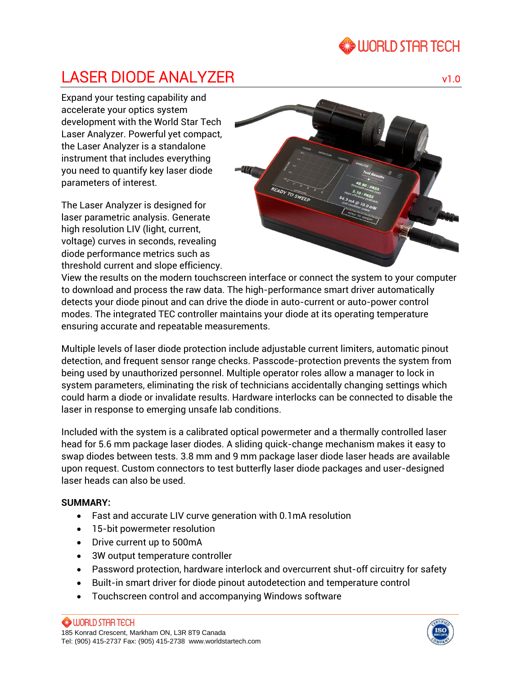# **WORLD STAR TECH**

# LASER DIODE ANALYZER v1.0

Expand your testing capability and accelerate your optics system development with the World Star Tech Laser Analyzer. Powerful yet compact, the Laser Analyzer is a standalone instrument that includes everything you need to quantify key laser diode parameters of interest.

The Laser Analyzer is designed for laser parametric analysis. Generate high resolution LIV (light, current, voltage) curves in seconds, revealing diode performance metrics such as threshold current and slope efficiency.



View the results on the modern touchscreen interface or connect the system to your computer to download and process the raw data. The high-performance smart driver automatically detects your diode pinout and can drive the diode in auto-current or auto-power control modes. The integrated TEC controller maintains your diode at its operating temperature ensuring accurate and repeatable measurements.

Multiple levels of laser diode protection include adjustable current limiters, automatic pinout detection, and frequent sensor range checks. Passcode-protection prevents the system from being used by unauthorized personnel. Multiple operator roles allow a manager to lock in system parameters, eliminating the risk of technicians accidentally changing settings which could harm a diode or invalidate results. Hardware interlocks can be connected to disable the laser in response to emerging unsafe lab conditions.

Included with the system is a calibrated optical powermeter and a thermally controlled laser head for 5.6 mm package laser diodes. A sliding quick-change mechanism makes it easy to swap diodes between tests. 3.8 mm and 9 mm package laser diode laser heads are available upon request. Custom connectors to test butterfly laser diode packages and user-designed laser heads can also be used.

## **SUMMARY:**

- Fast and accurate LIV curve generation with 0.1mA resolution
- 15-bit powermeter resolution
- Drive current up to 500mA
- 3W output temperature controller
- Password protection, hardware interlock and overcurrent shut-off circuitry for safety
- Built-in smart driver for diode pinout autodetection and temperature control
- Touchscreen control and accompanying Windows software